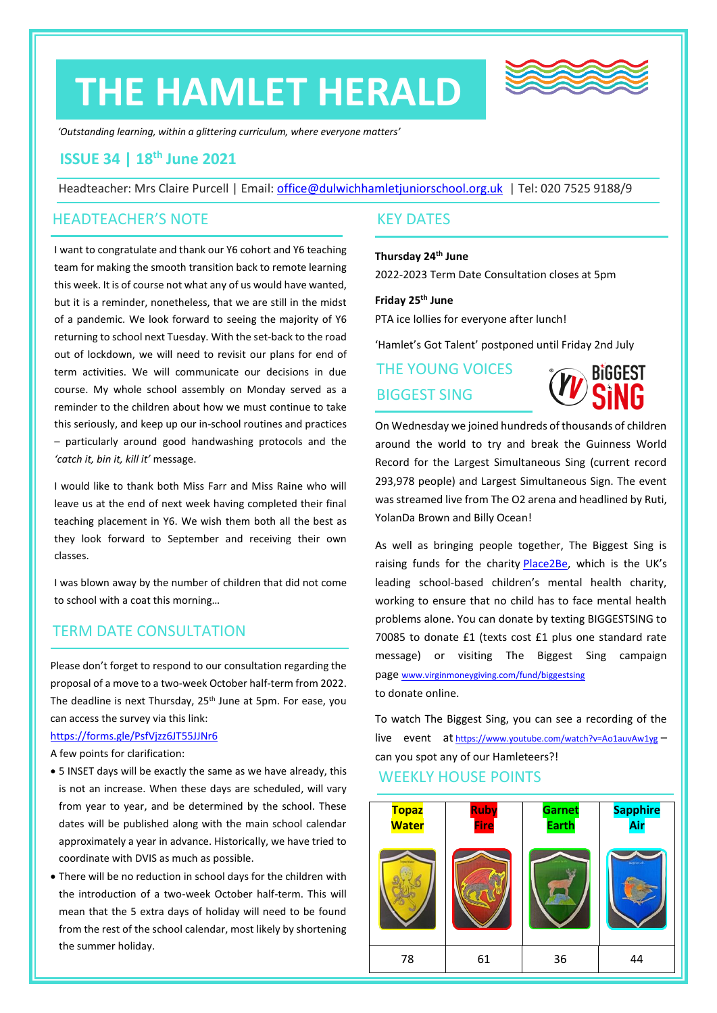# **THE HAMLET HERALD**



*'Outstanding learning, within a glittering curriculum, where everyone matters'*

# **ISSUE 34 | 18 th June 2021**

Headteacher: Mrs Claire Purcell | Email: [office@dulwichhamletjuniorschool.org.uk](mailto:office@dulwichhamletjuniorschool.org.uk) | Tel: 020 7525 9188/9

# HEADTEACHER'S NOTE

I want to congratulate and thank our Y6 cohort and Y6 teaching team for making the smooth transition back to remote learning this week. It is of course not what any of us would have wanted, but it is a reminder, nonetheless, that we are still in the midst of a pandemic. We look forward to seeing the majority of Y6 returning to school next Tuesday. With the set-back to the road out of lockdown, we will need to revisit our plans for end of term activities. We will communicate our decisions in due course. My whole school assembly on Monday served as a reminder to the children about how we must continue to take this seriously, and keep up our in-school routines and practices – particularly around good handwashing protocols and the *'catch it, bin it, kill it'* message.

I would like to thank both Miss Farr and Miss Raine who will leave us at the end of next week having completed their final teaching placement in Y6. We wish them both all the best as they look forward to September and receiving their own classes.

I was blown away by the number of children that did not come to school with a coat this morning…

# TERM DATE CONSULTATION

Please don't forget to respond to our consultation regarding the proposal of a move to a two-week October half-term from 2022. The deadline is next Thursday, 25<sup>th</sup> June at 5pm. For ease, you can access the survey via this link:

#### <https://forms.gle/PsfVjzz6JT55JJNr6>

A few points for clarification:

- 5 INSET days will be exactly the same as we have already, this is not an increase. When these days are scheduled, will vary from year to year, and be determined by the school. These dates will be published along with the main school calendar approximately a year in advance. Historically, we have tried to coordinate with DVIS as much as possible.
- There will be no reduction in school days for the children with the introduction of a two-week October half-term. This will mean that the 5 extra days of holiday will need to be found from the rest of the school calendar, most likely by shortening the summer holiday.

# KEY DATES

### **Thursday 24th June**

2022-2023 Term Date Consultation closes at 5pm

#### **Friday 25th June**

PTA ice lollies for everyone after lunch!

'Hamlet's Got Talent' postponed until Friday 2nd July

# THE YOUNG VOICES BIGGEST SING



On Wednesday we joined hundreds of thousands of children around the world to try and break the Guinness World Record for the Largest Simultaneous Sing (current record 293,978 people) and Largest Simultaneous Sign. The event was streamed live from The O2 arena and headlined by Ruti, YolanDa Brown and Billy Ocean!

As well as bringing people together, The Biggest Sing is raising funds for the charity [Place2Be](https://www.place2be.org.uk/), which is the UK's leading school-based children's mental health charity, working to ensure that no child has to face mental health problems alone. You can donate by texting BIGGESTSING to 70085 to donate £1 (texts cost £1 plus one standard rate message) or visiting The Biggest Sing campaign page [www.virginmoneygiving.com/fund/biggestsing](http://www.virginmoneygiving.com/fund/biggestsing) to donate online.

WEEKLY HOUSE POINTS To watch The Biggest Sing, you can see a recording of the live event at <https://www.youtube.com/watch?v=Ao1auvAw1yg> – can you spot any of our Hamleteers?!

| <b>Topaz</b><br><b>Water</b> | Ruby<br><b>Fire</b> | <b>Garnet</b><br><b>Earth</b> | <b>Sapphire</b><br>Air |
|------------------------------|---------------------|-------------------------------|------------------------|
|                              |                     |                               | Sapphire Air           |
| 78                           | 61                  | 36                            | 44                     |